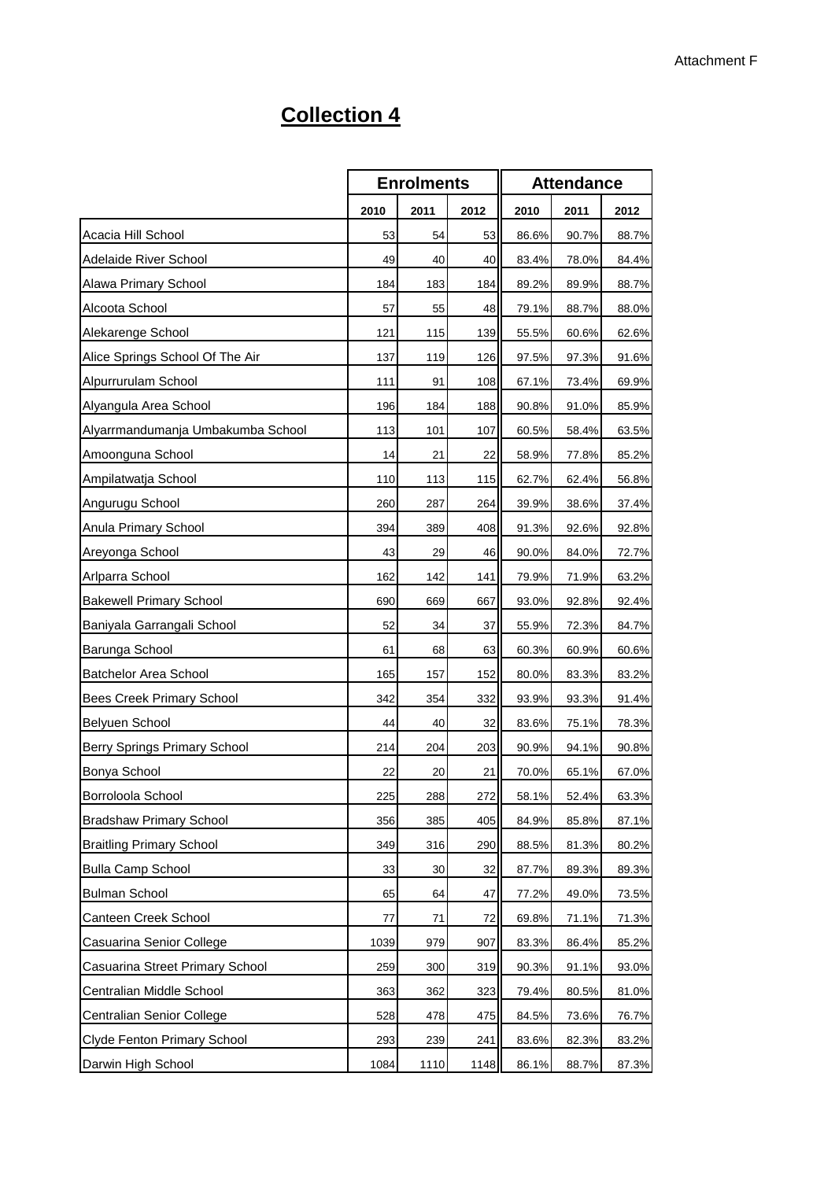## **Collection 4**

|                                   | <b>Enrolments</b> |      | <b>Attendance</b> |       |       |       |
|-----------------------------------|-------------------|------|-------------------|-------|-------|-------|
|                                   | 2010              | 2011 | 2012              | 2010  | 2011  | 2012  |
| Acacia Hill School                | 53                | 54   | 53                | 86.6% | 90.7% | 88.7% |
| Adelaide River School             | 49                | 40   | 40                | 83.4% | 78.0% | 84.4% |
| Alawa Primary School              | 184               | 183  | 184               | 89.2% | 89.9% | 88.7% |
| Alcoota School                    | 57                | 55   | 48                | 79.1% | 88.7% | 88.0% |
| Alekarenge School                 | 121               | 115  | 139               | 55.5% | 60.6% | 62.6% |
| Alice Springs School Of The Air   | 137               | 119  | 126               | 97.5% | 97.3% | 91.6% |
| Alpurrurulam School               | 111               | 91   | 108               | 67.1% | 73.4% | 69.9% |
| Alyangula Area School             | 196               | 184  | 188               | 90.8% | 91.0% | 85.9% |
| Alyarrmandumanja Umbakumba School | 113               | 101  | 107               | 60.5% | 58.4% | 63.5% |
| Amoonguna School                  | 14                | 21   | 22                | 58.9% | 77.8% | 85.2% |
| Ampilatwatja School               | 110               | 113  | 115               | 62.7% | 62.4% | 56.8% |
| Angurugu School                   | 260               | 287  | 264               | 39.9% | 38.6% | 37.4% |
| Anula Primary School              | 394               | 389  | 408               | 91.3% | 92.6% | 92.8% |
| Areyonga School                   | 43                | 29   | 46                | 90.0% | 84.0% | 72.7% |
| Arlparra School                   | 162               | 142  | 141               | 79.9% | 71.9% | 63.2% |
| <b>Bakewell Primary School</b>    | 690               | 669  | 667               | 93.0% | 92.8% | 92.4% |
| Baniyala Garrangali School        | 52                | 34   | 37                | 55.9% | 72.3% | 84.7% |
| Barunga School                    | 61                | 68   | 63                | 60.3% | 60.9% | 60.6% |
| Batchelor Area School             | 165               | 157  | 152               | 80.0% | 83.3% | 83.2% |
| Bees Creek Primary School         | 342               | 354  | 332               | 93.9% | 93.3% | 91.4% |
| Belyuen School                    | 44                | 40   | 32                | 83.6% | 75.1% | 78.3% |
| Berry Springs Primary School      | 214               | 204  | 203               | 90.9% | 94.1% | 90.8% |
| Bonya School                      | 22                | 20   | 21                | 70.0% | 65.1% | 67.0% |
| Borroloola School                 | 225               | 288  | 272               | 58.1% | 52.4% | 63.3% |
| <b>Bradshaw Primary School</b>    | 356               | 385  | 405               | 84.9% | 85.8% | 87.1% |
| <b>Braitling Primary School</b>   | 349               | 316  | 290               | 88.5% | 81.3% | 80.2% |
| <b>Bulla Camp School</b>          | 33                | 30   | 32                | 87.7% | 89.3% | 89.3% |
| <b>Bulman School</b>              | 65                | 64   | 47                | 77.2% | 49.0% | 73.5% |
| Canteen Creek School              | 77                | 71   | 72                | 69.8% | 71.1% | 71.3% |
| Casuarina Senior College          | 1039              | 979  | 907               | 83.3% | 86.4% | 85.2% |
| Casuarina Street Primary School   | 259               | 300  | 319               | 90.3% | 91.1% | 93.0% |
| Centralian Middle School          | 363               | 362  | 323               | 79.4% | 80.5% | 81.0% |
| Centralian Senior College         | 528               | 478  | 475               | 84.5% | 73.6% | 76.7% |
| Clyde Fenton Primary School       | 293               | 239  | 241               | 83.6% | 82.3% | 83.2% |
| Darwin High School                | 1084              | 1110 | 1148              | 86.1% | 88.7% | 87.3% |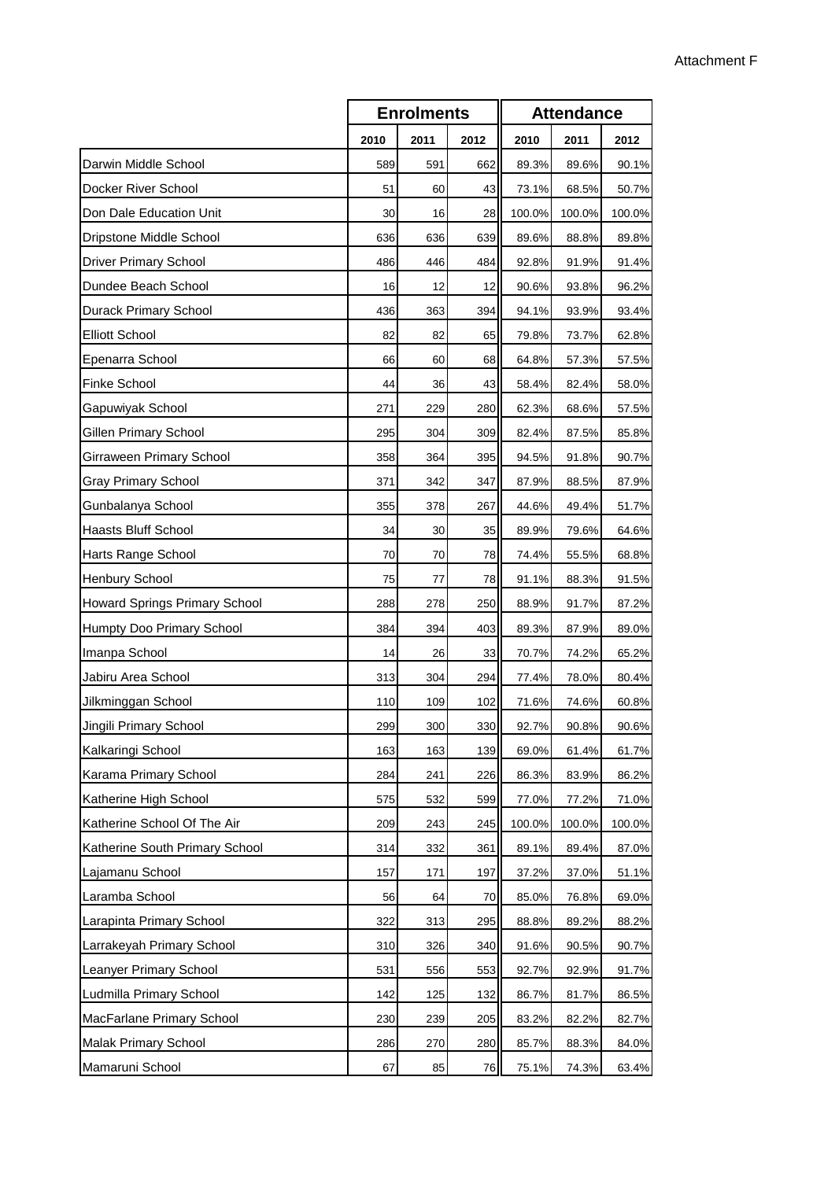|                                |      | <b>Enrolments</b> |      |        | <b>Attendance</b> |        |  |  |
|--------------------------------|------|-------------------|------|--------|-------------------|--------|--|--|
|                                | 2010 | 2011              | 2012 | 2010   | 2011              | 2012   |  |  |
| Darwin Middle School           | 589  | 591               | 662  | 89.3%  | 89.6%             | 90.1%  |  |  |
| Docker River School            | 51   | 60                | 43   | 73.1%  | 68.5%             | 50.7%  |  |  |
| Don Dale Education Unit        | 30   | 16                | 28   | 100.0% | 100.0%            | 100.0% |  |  |
| Dripstone Middle School        | 636  | 636               | 639  | 89.6%  | 88.8%             | 89.8%  |  |  |
| <b>Driver Primary School</b>   | 486  | 446               | 484  | 92.8%  | 91.9%             | 91.4%  |  |  |
| Dundee Beach School            | 16   | 12                | 12   | 90.6%  | 93.8%             | 96.2%  |  |  |
| Durack Primary School          | 436  | 363               | 394  | 94.1%  | 93.9%             | 93.4%  |  |  |
| <b>Elliott School</b>          | 82   | 82                | 65   | 79.8%  | 73.7%             | 62.8%  |  |  |
| Epenarra School                | 66   | 60                | 68   | 64.8%  | 57.3%             | 57.5%  |  |  |
| <b>Finke School</b>            | 44   | 36                | 43   | 58.4%  | 82.4%             | 58.0%  |  |  |
| Gapuwiyak School               | 271  | 229               | 280  | 62.3%  | 68.6%             | 57.5%  |  |  |
| Gillen Primary School          | 295  | 304               | 309  | 82.4%  | 87.5%             | 85.8%  |  |  |
| Girraween Primary School       | 358  | 364               | 395  | 94.5%  | 91.8%             | 90.7%  |  |  |
| <b>Gray Primary School</b>     | 371  | 342               | 347  | 87.9%  | 88.5%             | 87.9%  |  |  |
| Gunbalanya School              | 355  | 378               | 267  | 44.6%  | 49.4%             | 51.7%  |  |  |
| <b>Haasts Bluff School</b>     | 34   | 30                | 35   | 89.9%  | 79.6%             | 64.6%  |  |  |
| Harts Range School             | 70   | 70                | 78   | 74.4%  | 55.5%             | 68.8%  |  |  |
| Henbury School                 | 75   | 77                | 78   | 91.1%  | 88.3%             | 91.5%  |  |  |
| Howard Springs Primary School  | 288  | 278               | 250  | 88.9%  | 91.7%             | 87.2%  |  |  |
| Humpty Doo Primary School      | 384  | 394               | 403  | 89.3%  | 87.9%             | 89.0%  |  |  |
| Imanpa School                  | 14   | 26                | 33   | 70.7%  | 74.2%             | 65.2%  |  |  |
| Jabiru Area School             | 313  | 304               | 294  | 77.4%  | 78.0%             | 80.4%  |  |  |
| Jilkminggan School             | 110  | 109               | 102  | 71.6%  | 74.6%             | 60.8%  |  |  |
| Jingili Primary School         | 299  | 300               | 330  | 92.7%  | 90.8%             | 90.6%  |  |  |
| Kalkaringi School              | 163  | 163               | 139  | 69.0%  | 61.4%             | 61.7%  |  |  |
| Karama Primary School          | 284  | 241               | 226  | 86.3%  | 83.9%             | 86.2%  |  |  |
| Katherine High School          | 575  | 532               | 599  | 77.0%  | 77.2%             | 71.0%  |  |  |
| Katherine School Of The Air    | 209  | 243               | 245  | 100.0% | 100.0%            | 100.0% |  |  |
| Katherine South Primary School | 314  | 332               | 361  | 89.1%  | 89.4%             | 87.0%  |  |  |
| Lajamanu School                | 157  | 171               | 197  | 37.2%  | 37.0%             | 51.1%  |  |  |
| Laramba School                 | 56   | 64                | 70   | 85.0%  | 76.8%             | 69.0%  |  |  |
| Larapinta Primary School       | 322  | 313               | 295  | 88.8%  | 89.2%             | 88.2%  |  |  |
| Larrakeyah Primary School      | 310  | 326               | 340  | 91.6%  | 90.5%             | 90.7%  |  |  |
| Leanyer Primary School         | 531  | 556               | 553  | 92.7%  | 92.9%             | 91.7%  |  |  |
| Ludmilla Primary School        | 142  | 125               | 132  | 86.7%  | 81.7%             | 86.5%  |  |  |
| MacFarlane Primary School      | 230  | 239               | 205  | 83.2%  | 82.2%             | 82.7%  |  |  |
| Malak Primary School           | 286  | 270               | 280  | 85.7%  | 88.3%             | 84.0%  |  |  |
| Mamaruni School                | 67   | 85                | 76   | 75.1%  | 74.3%             | 63.4%  |  |  |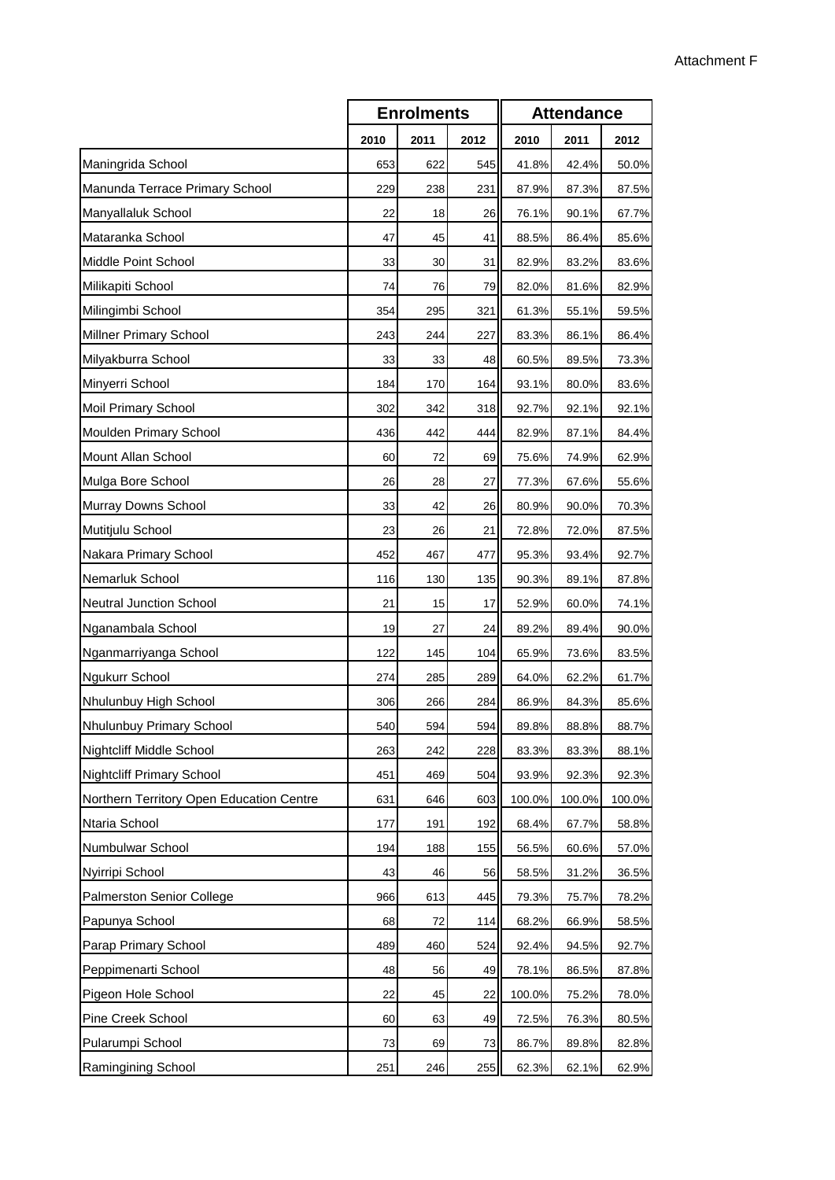|                                          | <b>Enrolments</b> |      |      | <b>Attendance</b> |        |        |
|------------------------------------------|-------------------|------|------|-------------------|--------|--------|
|                                          | 2010              | 2011 | 2012 | 2010              | 2011   | 2012   |
| Maningrida School                        | 653               | 622  | 545  | 41.8%             | 42.4%  | 50.0%  |
| Manunda Terrace Primary School           | 229               | 238  | 231  | 87.9%             | 87.3%  | 87.5%  |
| Manyallaluk School                       | 22                | 18   | 26   | 76.1%             | 90.1%  | 67.7%  |
| Mataranka School                         | 47                | 45   | 41   | 88.5%             | 86.4%  | 85.6%  |
| Middle Point School                      | 33                | 30   | 31   | 82.9%             | 83.2%  | 83.6%  |
| Milikapiti School                        | 74                | 76   | 79   | 82.0%             | 81.6%  | 82.9%  |
| Milingimbi School                        | 354               | 295  | 321  | 61.3%             | 55.1%  | 59.5%  |
| <b>Millner Primary School</b>            | 243               | 244  | 227  | 83.3%             | 86.1%  | 86.4%  |
| Milyakburra School                       | 33                | 33   | 48   | 60.5%             | 89.5%  | 73.3%  |
| Minyerri School                          | 184               | 170  | 164  | 93.1%             | 80.0%  | 83.6%  |
| Moil Primary School                      | 302               | 342  | 318  | 92.7%             | 92.1%  | 92.1%  |
| Moulden Primary School                   | 436               | 442  | 444  | 82.9%             | 87.1%  | 84.4%  |
| Mount Allan School                       | 60                | 72   | 69   | 75.6%             | 74.9%  | 62.9%  |
| Mulga Bore School                        | 26                | 28   | 27   | 77.3%             | 67.6%  | 55.6%  |
| Murray Downs School                      | 33                | 42   | 26   | 80.9%             | 90.0%  | 70.3%  |
| Mutitjulu School                         | 23                | 26   | 21   | 72.8%             | 72.0%  | 87.5%  |
| Nakara Primary School                    | 452               | 467  | 477  | 95.3%             | 93.4%  | 92.7%  |
| Nemarluk School                          | 116               | 130  | 135  | 90.3%             | 89.1%  | 87.8%  |
| <b>Neutral Junction School</b>           | 21                | 15   | 17   | 52.9%             | 60.0%  | 74.1%  |
| Nganambala School                        | 19                | 27   | 24   | 89.2%             | 89.4%  | 90.0%  |
| Nganmarriyanga School                    | 122               | 145  | 104  | 65.9%             | 73.6%  | 83.5%  |
| Ngukurr School                           | 274               | 285  | 289  | 64.0%             | 62.2%  | 61.7%  |
| Nhulunbuy High School                    | 306               | 266  | 284  | 86.9%             | 84.3%  | 85.6%  |
| Nhulunbuy Primary School                 | 540               | 594  | 594  | 89.8%             | 88.8%  | 88.7%  |
| Nightcliff Middle School                 | 263               | 242  | 228  | 83.3%             | 83.3%  | 88.1%  |
| <b>Nightcliff Primary School</b>         | 451               | 469  | 504  | 93.9%             | 92.3%  | 92.3%  |
| Northern Territory Open Education Centre | 631               | 646  | 603  | 100.0%            | 100.0% | 100.0% |
| Ntaria School                            | 177               | 191  | 192  | 68.4%             | 67.7%  | 58.8%  |
| Numbulwar School                         | 194               | 188  | 155  | 56.5%             | 60.6%  | 57.0%  |
| Nyirripi School                          | 43                | 46   | 56   | 58.5%             | 31.2%  | 36.5%  |
| Palmerston Senior College                | 966               | 613  | 445  | 79.3%             | 75.7%  | 78.2%  |
| Papunya School                           | 68                | 72   | 114  | 68.2%             | 66.9%  | 58.5%  |
| Parap Primary School                     | 489               | 460  | 524  | 92.4%             | 94.5%  | 92.7%  |
| Peppimenarti School                      | 48                | 56   | 49   | 78.1%             | 86.5%  | 87.8%  |
| Pigeon Hole School                       | 22                | 45   | 22   | 100.0%            | 75.2%  | 78.0%  |
| Pine Creek School                        | 60                | 63   | 49   | 72.5%             | 76.3%  | 80.5%  |
| Pularumpi School                         | 73                | 69   | 73   | 86.7%             | 89.8%  | 82.8%  |
| Ramingining School                       | 251               | 246  | 255  | 62.3%             | 62.1%  | 62.9%  |